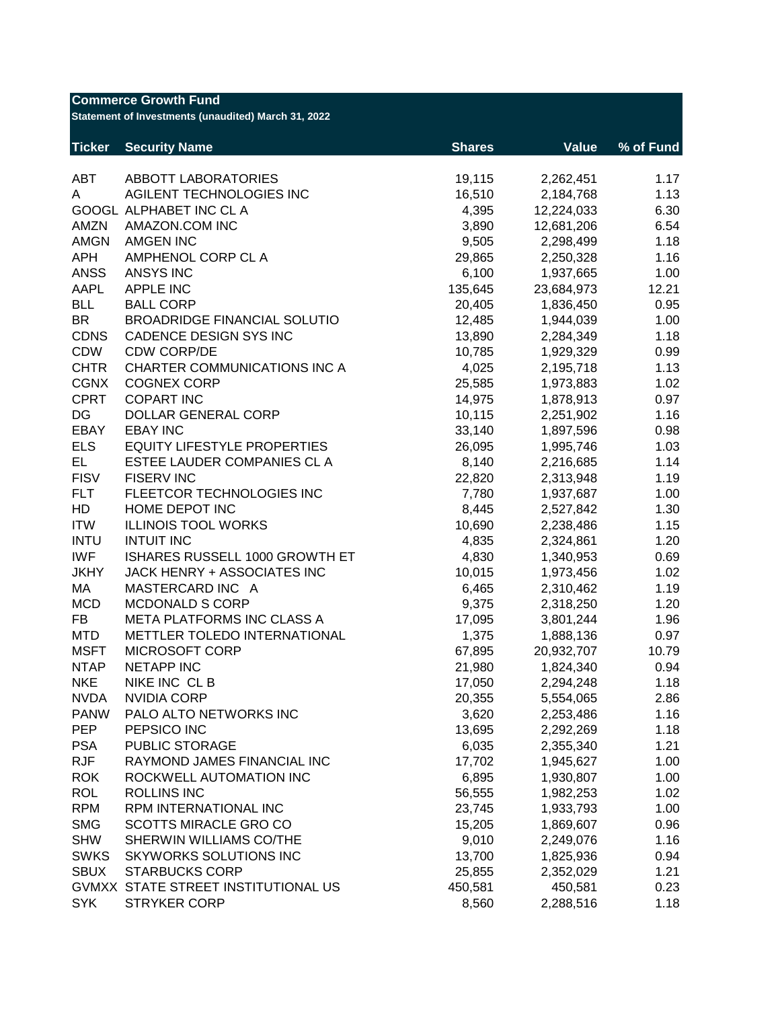| <b>Commerce Growth Fund</b><br>Statement of Investments (unaudited) March 31, 2022 |                                     |               |              |           |  |  |
|------------------------------------------------------------------------------------|-------------------------------------|---------------|--------------|-----------|--|--|
| <b>Ticker</b>                                                                      | <b>Security Name</b>                | <b>Shares</b> | <b>Value</b> | % of Fund |  |  |
| <b>ABT</b>                                                                         | <b>ABBOTT LABORATORIES</b>          | 19,115        | 2,262,451    | 1.17      |  |  |
| A                                                                                  | AGILENT TECHNOLOGIES INC            | 16,510        | 2,184,768    | 1.13      |  |  |
|                                                                                    | GOOGL ALPHABET INC CL A             | 4,395         | 12,224,033   | 6.30      |  |  |
| AMZN                                                                               | AMAZON.COM INC                      | 3,890         | 12,681,206   | 6.54      |  |  |
| <b>AMGN</b>                                                                        | <b>AMGEN INC</b>                    | 9,505         | 2,298,499    | 1.18      |  |  |
| <b>APH</b>                                                                         | AMPHENOL CORP CL A                  | 29,865        | 2,250,328    | 1.16      |  |  |
| <b>ANSS</b>                                                                        | <b>ANSYS INC</b>                    | 6,100         | 1,937,665    | 1.00      |  |  |
| AAPL                                                                               | <b>APPLE INC</b>                    | 135,645       | 23,684,973   | 12.21     |  |  |
| <b>BLL</b>                                                                         | <b>BALL CORP</b>                    | 20,405        | 1,836,450    | 0.95      |  |  |
| <b>BR</b>                                                                          | <b>BROADRIDGE FINANCIAL SOLUTIO</b> | 12,485        | 1,944,039    | 1.00      |  |  |
| <b>CDNS</b>                                                                        | CADENCE DESIGN SYS INC              | 13,890        | 2,284,349    | 1.18      |  |  |
| CDW                                                                                | <b>CDW CORP/DE</b>                  | 10,785        | 1,929,329    | 0.99      |  |  |
| <b>CHTR</b>                                                                        | CHARTER COMMUNICATIONS INC A        | 4,025         | 2,195,718    | 1.13      |  |  |
| <b>CGNX</b>                                                                        | <b>COGNEX CORP</b>                  | 25,585        | 1,973,883    | 1.02      |  |  |
| <b>CPRT</b>                                                                        | <b>COPART INC</b>                   | 14,975        | 1,878,913    | 0.97      |  |  |
| DG                                                                                 | <b>DOLLAR GENERAL CORP</b>          | 10,115        | 2,251,902    | 1.16      |  |  |
| <b>EBAY</b>                                                                        | <b>EBAY INC</b>                     | 33,140        | 1,897,596    | 0.98      |  |  |
| <b>ELS</b>                                                                         | <b>EQUITY LIFESTYLE PROPERTIES</b>  | 26,095        | 1,995,746    | 1.03      |  |  |
| EL.                                                                                | ESTEE LAUDER COMPANIES CL A         | 8,140         | 2,216,685    | 1.14      |  |  |
| <b>FISV</b>                                                                        | <b>FISERV INC</b>                   | 22,820        | 2,313,948    | 1.19      |  |  |
| <b>FLT</b>                                                                         | FLEETCOR TECHNOLOGIES INC           | 7,780         | 1,937,687    | 1.00      |  |  |
| HD                                                                                 | HOME DEPOT INC                      | 8,445         | 2,527,842    | 1.30      |  |  |
| <b>ITW</b>                                                                         | <b>ILLINOIS TOOL WORKS</b>          | 10,690        | 2,238,486    | 1.15      |  |  |
| <b>INTU</b>                                                                        | <b>INTUIT INC</b>                   | 4,835         | 2,324,861    | 1.20      |  |  |
| <b>IWF</b>                                                                         | ISHARES RUSSELL 1000 GROWTH ET      | 4,830         | 1,340,953    | 0.69      |  |  |
| <b>JKHY</b>                                                                        | JACK HENRY + ASSOCIATES INC         | 10,015        | 1,973,456    | 1.02      |  |  |
| МA                                                                                 | MASTERCARD INC A                    | 6,465         | 2,310,462    | 1.19      |  |  |
| <b>MCD</b>                                                                         | <b>MCDONALD S CORP</b>              | 9,375         | 2,318,250    | 1.20      |  |  |
| FB                                                                                 | META PLATFORMS INC CLASS A          | 17,095        | 3,801,244    | 1.96      |  |  |
| <b>MTD</b>                                                                         | METTLER TOLEDO INTERNATIONAL        | 1,375         | 1,888,136    | 0.97      |  |  |
| <b>MSFT</b>                                                                        | MICROSOFT CORP                      | 67,895        | 20,932,707   | 10.79     |  |  |
| <b>NTAP</b>                                                                        | <b>NETAPP INC</b>                   | 21,980        | 1,824,340    | 0.94      |  |  |
| <b>NKE</b>                                                                         | NIKE INC CLB                        | 17,050        | 2,294,248    | 1.18      |  |  |
| <b>NVDA</b>                                                                        | <b>NVIDIA CORP</b>                  | 20,355        | 5,554,065    | 2.86      |  |  |
| <b>PANW</b>                                                                        | PALO ALTO NETWORKS INC              | 3,620         | 2,253,486    | 1.16      |  |  |
| PEP                                                                                | PEPSICO INC                         | 13,695        | 2,292,269    | 1.18      |  |  |
| <b>PSA</b>                                                                         | <b>PUBLIC STORAGE</b>               | 6,035         | 2,355,340    | 1.21      |  |  |
| <b>RJF</b>                                                                         | RAYMOND JAMES FINANCIAL INC         | 17,702        | 1,945,627    | 1.00      |  |  |
| <b>ROK</b>                                                                         | ROCKWELL AUTOMATION INC             | 6,895         | 1,930,807    | 1.00      |  |  |
| <b>ROL</b>                                                                         | <b>ROLLINS INC</b>                  | 56,555        | 1,982,253    | 1.02      |  |  |
| <b>RPM</b>                                                                         | RPM INTERNATIONAL INC               | 23,745        | 1,933,793    | 1.00      |  |  |
| <b>SMG</b>                                                                         | <b>SCOTTS MIRACLE GRO CO</b>        | 15,205        | 1,869,607    | 0.96      |  |  |
| <b>SHW</b>                                                                         | SHERWIN WILLIAMS CO/THE             | 9,010         | 2,249,076    | 1.16      |  |  |
| <b>SWKS</b>                                                                        | <b>SKYWORKS SOLUTIONS INC</b>       | 13,700        | 1,825,936    | 0.94      |  |  |
| <b>SBUX</b>                                                                        | <b>STARBUCKS CORP</b>               | 25,855        | 2,352,029    | 1.21      |  |  |
|                                                                                    | GVMXX STATE STREET INSTITUTIONAL US | 450,581       | 450,581      | 0.23      |  |  |
| <b>SYK</b>                                                                         | <b>STRYKER CORP</b>                 | 8,560         | 2,288,516    | 1.18      |  |  |